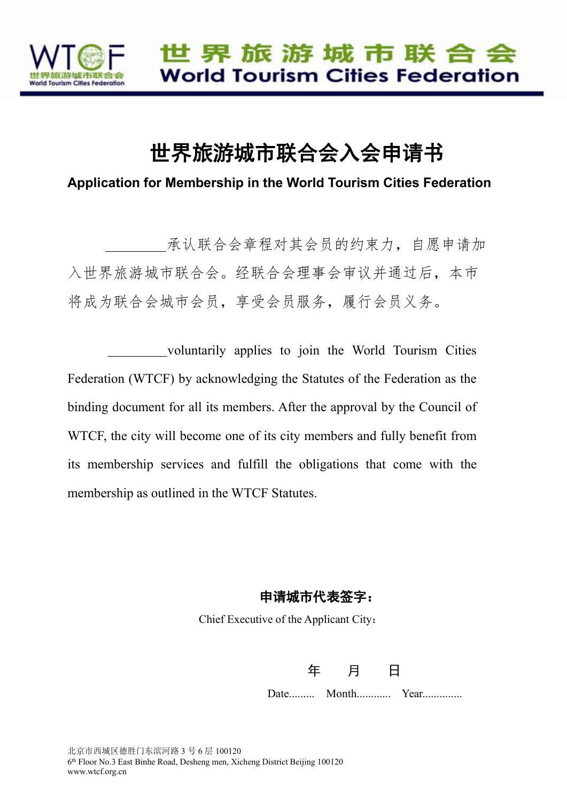

# 世界旅游城市联合会入会申请书

**Application for Membership in the World Tourism Cities Federation**

承认联合会章程对其会员的约束力,自愿申请加 入世界旅游城市联合会。经联合会理事会审议并通过后,本市 将成为联合会城市会员,享受会员服务,履行会员义务。

voluntarily applies to join the World Tourism Cities Federation (WTCF) by acknowledging the Statutes of the Federation as the binding document for all its members. After the approval by the Council of WTCF, the city will become one of its city members and fully benefit from its membership services and fulfill the obligations that come with the membership as outlined in the WTCF Statutes.

#### 申请城市代表签字:

Chief Executive of the Applicant City:

年 月 日

Date......... Month............ Year..............